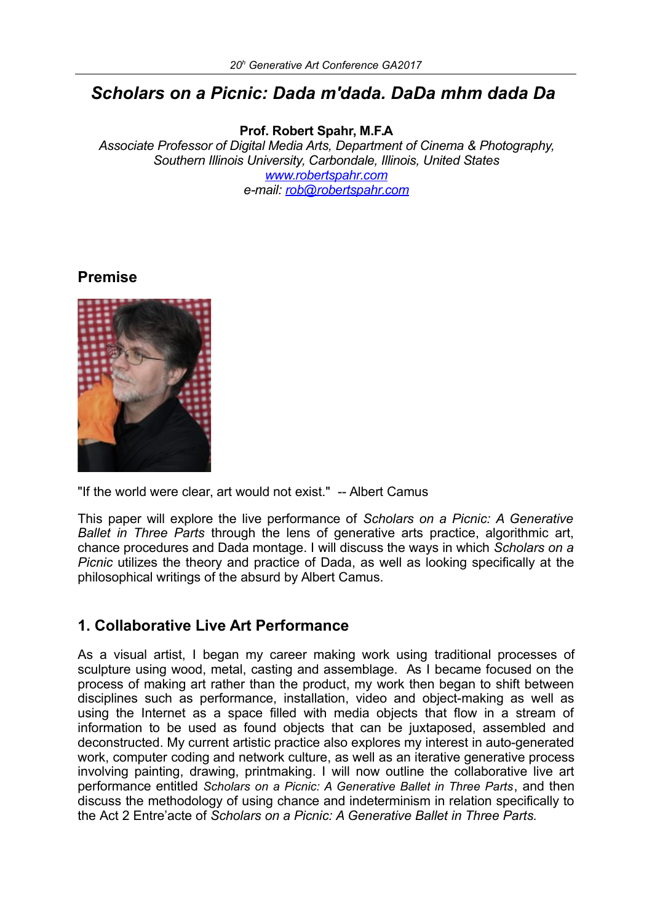# *Scholars on a Picnic: Dada m'dada. DaDa mhm dada Da*

**Prof. Robert Spahr, M.F.A**

*Associate Professor of Digital Media Arts, Department of Cinema & Photography, Southern Illinois University, Carbondale, Illinois, United States [www.robertspahr.com](http://www.robertspahr.com/) e-mail: [rob@robertspahr.com](mailto:rob@robertspahr.com)*

### **Premise**



"If the world were clear, art would not exist." -- Albert Camus

This paper will explore the live performance of *Scholars on a Picnic: A Generative Ballet in Three Parts* through the lens of generative arts practice, algorithmic art, chance procedures and Dada montage. I will discuss the ways in which *Scholars on a Picnic* utilizes the theory and practice of Dada, as well as looking specifically at the philosophical writings of the absurd by Albert Camus.

# **1. Collaborative Live Art Performance**

As a visual artist, I began my career making work using traditional processes of sculpture using wood, metal, casting and assemblage. As I became focused on the process of making art rather than the product, my work then began to shift between disciplines such as performance, installation, video and object-making as well as using the Internet as a space filled with media objects that flow in a stream of information to be used as found objects that can be juxtaposed, assembled and deconstructed. My current artistic practice also explores my interest in auto-generated work, computer coding and network culture, as well as an iterative generative process involving painting, drawing, printmaking. I will now outline the collaborative live art performance entitled *Scholars on a Picnic: A Generative Ballet in Three Parts*, and then discuss the methodology of using chance and indeterminism in relation specifically to the Act 2 Entre'acte of *Scholars on a Picnic: A Generative Ballet in Three Parts.*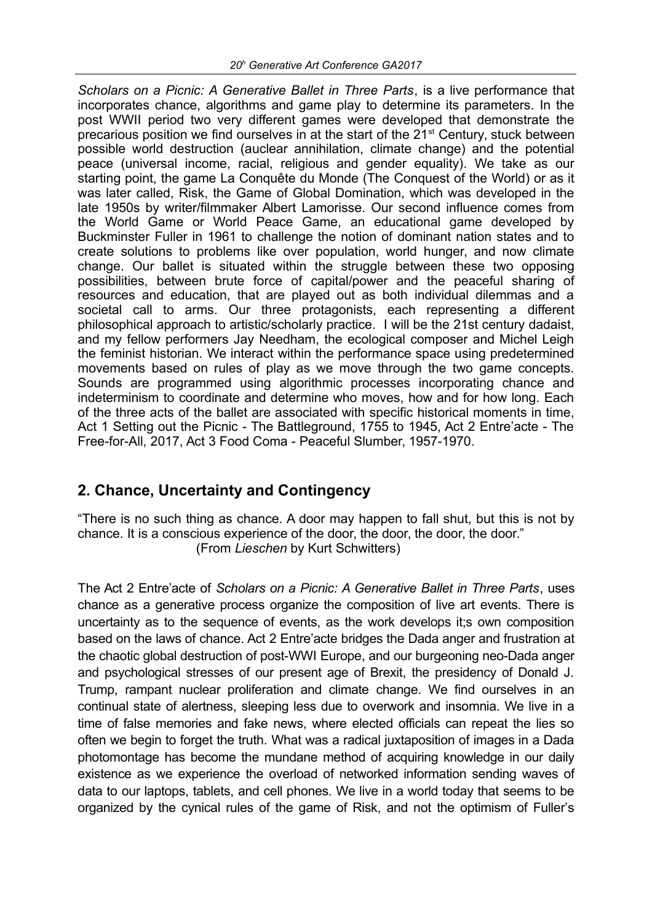*Scholars on a Picnic: A Generative Ballet in Three Parts*, is a live performance that incorporates chance, algorithms and game play to determine its parameters. In the post WWII period two very different games were developed that demonstrate the precarious position we find ourselves in at the start of the 21<sup>st</sup> Century, stuck between possible world destruction (auclear annihilation, climate change) and the potential peace (universal income, racial, religious and gender equality). We take as our starting point, the game La Conquête du Monde (The Conquest of the World) or as it was later called, Risk, the Game of Global Domination, which was developed in the late 1950s by writer/filmmaker Albert Lamorisse. Our second influence comes from the World Game or World Peace Game, an educational game developed by Buckminster Fuller in 1961 to challenge the notion of dominant nation states and to create solutions to problems like over population, world hunger, and now climate change. Our ballet is situated within the struggle between these two opposing possibilities, between brute force of capital/power and the peaceful sharing of resources and education, that are played out as both individual dilemmas and a societal call to arms. Our three protagonists, each representing a different philosophical approach to artistic/scholarly practice. I will be the 21st century dadaist, and my fellow performers Jay Needham, the ecological composer and Michel Leigh the feminist historian. We interact within the performance space using predetermined movements based on rules of play as we move through the two game concepts. Sounds are programmed using algorithmic processes incorporating chance and indeterminism to coordinate and determine who moves, how and for how long. Each of the three acts of the ballet are associated with specific historical moments in time, Act 1 Setting out the Picnic - The Battleground, 1755 to 1945, Act 2 Entre'acte - The Free-for-All, 2017, Act 3 Food Coma - Peaceful Slumber, 1957-1970.

# **2. Chance, Uncertainty and Contingency**

"There is no such thing as chance. A door may happen to fall shut, but this is not by chance. It is a conscious experience of the door, the door, the door, the door." (From *Lieschen* by Kurt Schwitters)

The Act 2 Entre'acte of *Scholars on a Picnic: A Generative Ballet in Three Parts*, uses chance as a generative process organize the composition of live art events. There is uncertainty as to the sequence of events, as the work develops it;s own composition based on the laws of chance. Act 2 Entre'acte bridges the Dada anger and frustration at the chaotic global destruction of post-WWI Europe, and our burgeoning neo-Dada anger and psychological stresses of our present age of Brexit, the presidency of Donald J. Trump, rampant nuclear proliferation and climate change. We find ourselves in an continual state of alertness, sleeping less due to overwork and insomnia. We live in a time of false memories and fake news, where elected officials can repeat the lies so often we begin to forget the truth. What was a radical juxtaposition of images in a Dada photomontage has become the mundane method of acquiring knowledge in our daily existence as we experience the overload of networked information sending waves of data to our laptops, tablets, and cell phones. We live in a world today that seems to be organized by the cynical rules of the game of Risk, and not the optimism of Fuller's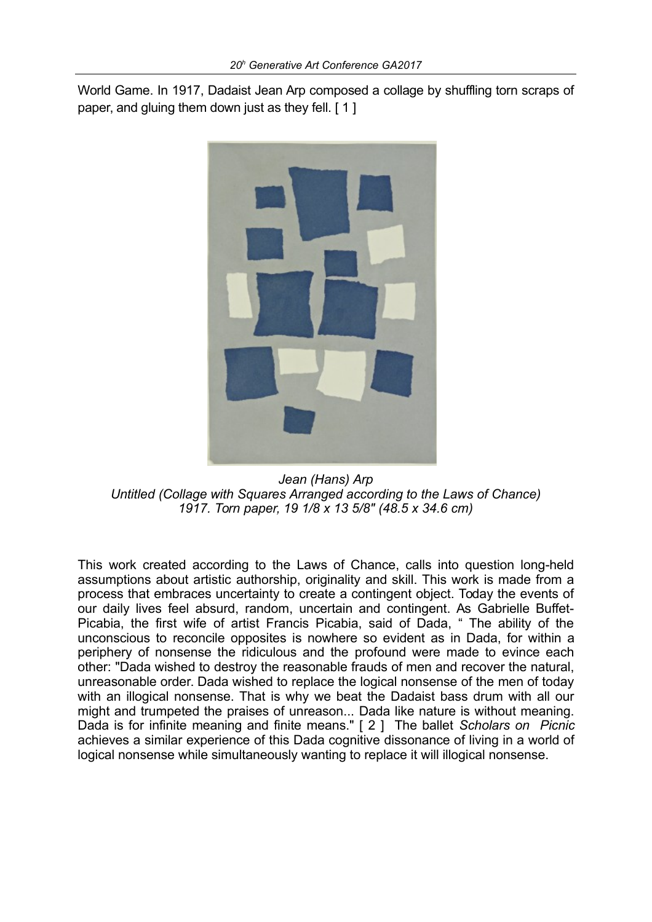World Game. In 1917, Dadaist Jean Arp composed a collage by shuffling torn scraps of paper, and gluing them down just as they fell. [1]



*Jean (Hans) Arp Untitled (Collage with Squares Arranged according to the Laws of Chance) 1917. Torn paper, 19 1/8 x 13 5/8" (48.5 x 34.6 cm)*

This work created according to the Laws of Chance, calls into question long-held assumptions about artistic authorship, originality and skill. This work is made from a process that embraces uncertainty to create a contingent object. Today the events of our daily lives feel absurd, random, uncertain and contingent. As Gabrielle Buffet-Picabia, the first wife of artist Francis Picabia, said of Dada, " The ability of the unconscious to reconcile opposites is nowhere so evident as in Dada, for within a periphery of nonsense the ridiculous and the profound were made to evince each other: "Dada wished to destroy the reasonable frauds of men and recover the natural, unreasonable order. Dada wished to replace the logical nonsense of the men of today with an illogical nonsense. That is why we beat the Dadaist bass drum with all our might and trumpeted the praises of unreason... Dada like nature is without meaning. Dada is for infinite meaning and finite means." [ 2 ] The ballet *Scholars on Picnic* achieves a similar experience of this Dada cognitive dissonance of living in a world of logical nonsense while simultaneously wanting to replace it will illogical nonsense.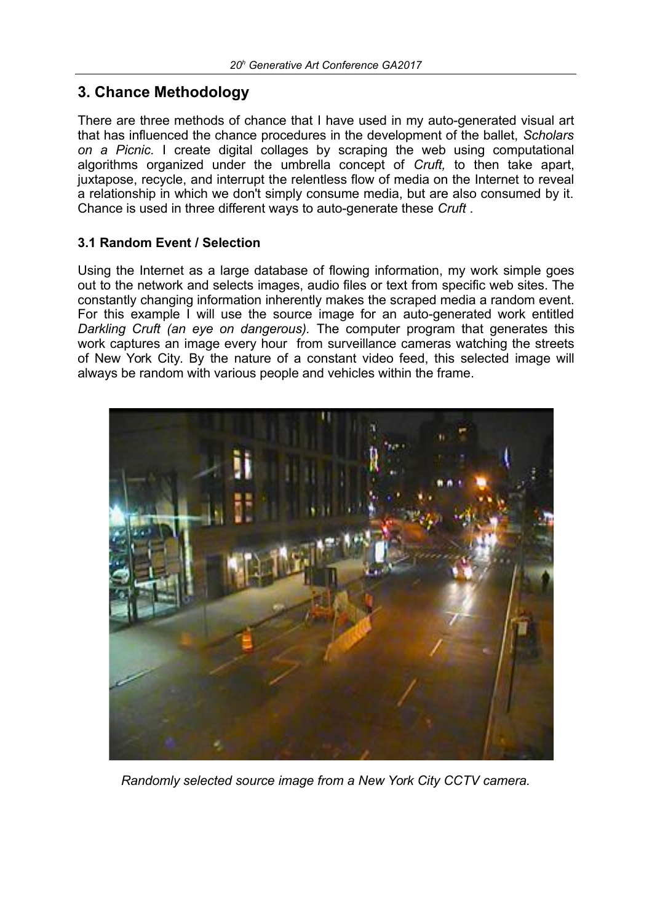# **3. Chance Methodology**

There are three methods of chance that I have used in my auto-generated visual art that has influenced the chance procedures in the development of the ballet, *Scholars on a Picnic.* I create digital collages by scraping the web using computational algorithms organized under the umbrella concept of *Cruft,* to then take apart, juxtapose, recycle, and interrupt the relentless flow of media on the Internet to reveal a relationship in which we don't simply consume media, but are also consumed by it. Chance is used in three different ways to auto-generate these *Cruft* .

### **3.1 Random Event / Selection**

Using the Internet as a large database of flowing information, my work simple goes out to the network and selects images, audio files or text from specific web sites. The constantly changing information inherently makes the scraped media a random event. For this example I will use the source image for an auto-generated work entitled *Darkling Cruft (an eye on dangerous).* The computer program that generates this work captures an image every hour from surveillance cameras watching the streets of New York City. By the nature of a constant video feed, this selected image will always be random with various people and vehicles within the frame.



*Randomly selected source image from a New York City CCTV camera.*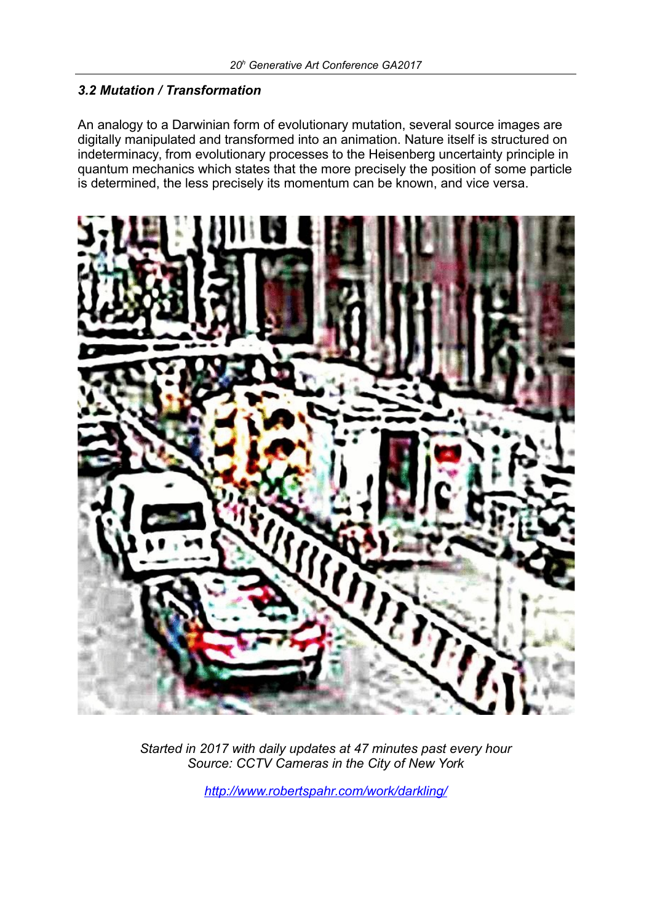#### *3.2 Mutation / Transformation*

An analogy to a Darwinian form of evolutionary mutation, several source images are digitally manipulated and transformed into an animation. Nature itself is structured on indeterminacy, from evolutionary processes to the Heisenberg uncertainty principle in quantum mechanics which states that the more precisely the position of some particle is determined, the less precisely its momentum can be known, and vice versa.



*Started in 2017 with daily updates at 47 minutes past every hour Source: CCTV Cameras in the City of New York*

*<http://www.robertspahr.com/work/darkling/>*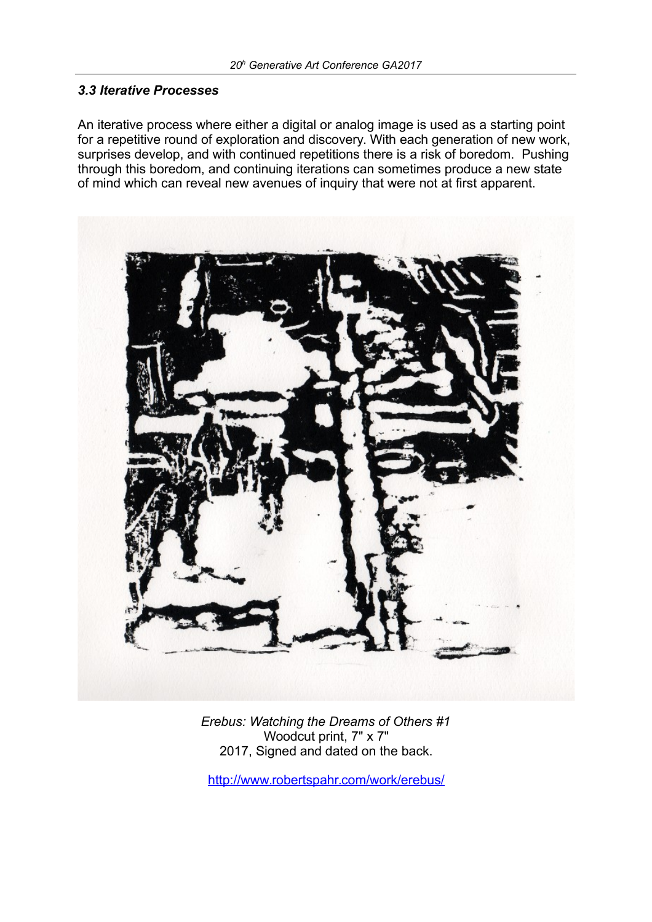#### *3.3 Iterative Processes*

An iterative process where either a digital or analog image is used as a starting point for a repetitive round of exploration and discovery. With each generation of new work, surprises develop, and with continued repetitions there is a risk of boredom. Pushing through this boredom, and continuing iterations can sometimes produce a new state of mind which can reveal new avenues of inquiry that were not at first apparent.



*Erebus: Watching the Dreams of Others #1* Woodcut print, 7" x 7" 2017, Signed and dated on the back.

<http://www.robertspahr.com/work/erebus/>